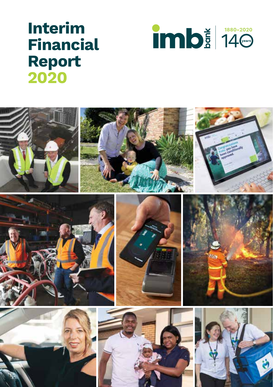# **Interim Financial Report 2020**



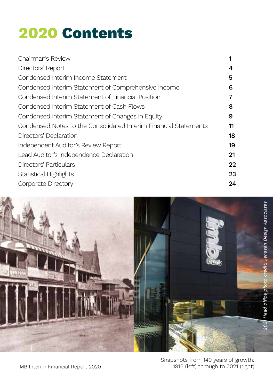# **2020 Contents**

| Chairman's Review                                                |    |
|------------------------------------------------------------------|----|
| Directors' Report                                                | 4  |
| Condensed Interim Income Statement                               | 5  |
| Condensed Interim Statement of Comprehensive Income              | 6  |
| Condensed Interim Statement of Financial Position                |    |
| Condensed Interim Statement of Cash Flows                        | 8  |
| Condensed Interim Statement of Changes in Equity                 | 9  |
| Condensed Notes to the Consolidated Interim Financial Statements | 11 |
| Directors' Declaration                                           | 18 |
| Independent Auditor's Review Report                              | 19 |
| Lead Auditor's Independence Declaration                          | 21 |
| Directors' Particulars                                           | 22 |
| Statistical Highlights                                           | 23 |
| Corporate Directory                                              | 24 |

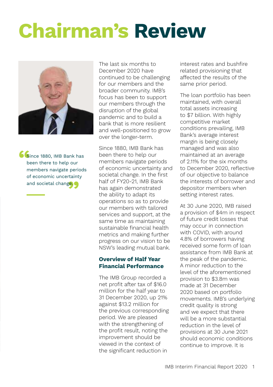# **Chairman's Review**



**Since 1880, IMB Bank has<br>
been there to help our<br>
members navigate periods** of economic uncertainty<br>and societal change. been there to help our members navigate periods and societal change.

The last six months to December 2020 have continued to be challenging for our members and the broader community. IMB's focus has been to support our members through the disruption of the global pandemic and to build a bank that is more resilient and well-positioned to grow over the longer-term.

Since 1880, IMB Bank has been there to help our members navigate periods of economic uncertainty and societal change. In the first half of FY20-21, IMB Bank has again demonstrated the ability to adapt its operations so as to provide our members with tailored services and support, at the same time as maintaining sustainable financial health metrics and making further progress on our vision to be NSW's leading mutual bank.

#### **Overview of Half Year Financial Performance**

The IMB Group recorded a net profit after tax of \$16.0 million for the half year to 31 December 2020, up 21% against \$13.2 million for the previous corresponding period. We are pleased with the strengthening of the profit result, noting the improvement should be viewed in the context of the significant reduction in

interest rates and bushfire related provisioning that affected the results of the same prior period.

The loan portfolio has been maintained, with overall total assets increasing to \$7 billion. With highly competitive market conditions prevailing, IMB Bank's average interest margin is being closely managed and was also maintained at an average of 2.11% for the six months to December 2020, reflective of our objective to balance the interests of borrower and depositor members when setting interest rates.

At 30 June 2020, IMB raised a provision of \$4m in respect of future credit losses that may occur in connection with COVID, with around 4.8% of borrowers having received some form of loan assistance from IMB Bank at the peak of the pandemic. A minor reduction to the level of the aforementioned provision to \$3.8m was made at 31 December 2020 based on portfolio movements. IMB's underlying credit quality is strong and we expect that there will be a more substantial reduction in the level of provisions at 30 June 2021 should economic conditions continue to improve. It is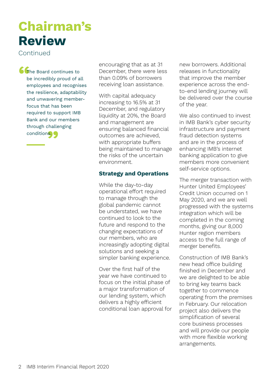## **Chairman's Review**

Continued

**The Board continues to<br>
be incredibly proud of a<br>
employees and recognis** through challenging<br>conditions be incredibly proud of all employees and recognises the resilience, adaptability and unwavering memberfocus that has been required to support IMB Bank and our members conditions.

encouraging that as at 31 December, there were less than 0.09% of borrowers receiving loan assistance.

With capital adequacy increasing to 16.5% at 31 December, and regulatory liquidity at 20%, the Board and management are ensuring balanced financial outcomes are achieved, with appropriate buffers being maintained to manage the risks of the uncertain environment.

#### **Strategy and Operations**

While the day-to-day operational effort required to manage through the global pandemic cannot be understated, we have continued to look to the future and respond to the changing expectations of our members, who are increasingly adopting digital solutions and seeking a simpler banking experience.

Over the first half of the year we have continued to focus on the initial phase of a major transformation of our lending system, which delivers a highly efficient conditional loan approval for new borrowers. Additional releases in functionality that improve the member experience across the endto-end lending journey will be delivered over the course of the year.

We also continued to invest in IMB Bank's cyber security infrastructure and payment fraud detection systems and are in the process of enhancing IMB's internet banking application to give members more convenient self-service options.

The merger transaction with Hunter United Employees' Credit Union occurred on 1 May 2020, and we are well progressed with the systems integration which will be completed in the coming months, giving our 8,000 Hunter region members access to the full range of merger benefits.

Construction of IMB Bank's new head office building finished in December and we are delighted to be able to bring key teams back together to commence operating from the premises in February. Our relocation project also delivers the simplification of several core business processes and will provide our people with more flexible working arrangements.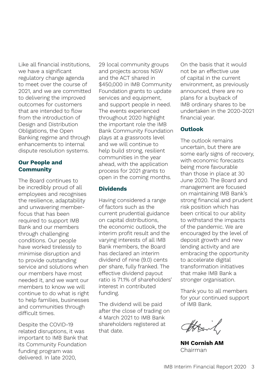Like all financial institutions, we have a significant regulatory change agenda to meet over the course of 2021, and we are committed to delivering the improved outcomes for customers that are intended to flow from the introduction of Design and Distribution Obligations, the Open Banking regime and through enhancements to internal dispute resolution systems.

#### **Our People and Community**

The Board continues to be incredibly proud of all employees and recognises the resilience, adaptability and unwavering memberfocus that has been required to support IMB Bank and our members through challenging conditions. Our people have worked tirelessly to minimise disruption and to provide outstanding service and solutions when our members have most needed it, and we want our members to know we will continue to do what is right to help families, businesses and communities through difficult times.

Despite the COVID-19 related disruptions, it was important to IMB Bank that its Community Foundation funding program was delivered. In late 2020,

29 local community groups and projects across NSW and the ACT shared in \$450,000 in IMB Community Foundation grants to update services and equipment, and support people in need. The events experienced throughout 2020 highlight the important role the IMB Bank Community Foundation plays at a grassroots level and we will continue to help build strong, resilient communities in the year ahead, with the application process for 2021 grants to open in the coming months.

#### **Dividends**

Having considered a range of factors such as the current prudential guidance on capital distributions, the economic outlook, the interim profit result and the varying interests of all IMB Bank members, the Board has declared an interim dividend of nine (9.0) cents per share, fully franked. The effective dividend payout ratio is 71.1% of shareholders' interest in contributed funding.

The dividend will be paid after the close of trading on 4 March 2021 to IMB Bank shareholders registered at that date.

On the basis that it would not be an effective use of capital in the current environment, as previously announced, there are no plans for a buyback of IMB ordinary shares to be undertaken in the 2020-2021 financial year.

#### **Outlook**

The outlook remains uncertain, but there are some early signs of recovery. with economic forecasts being more favourable than those in place at 30 June 2020. The Board and management are focused on maintaining IMB Bank's strong financial and prudent risk position which has been critical to our ability to withstand the impacts of the pandemic. We are encouraged by the level of deposit growth and new lending activity and are embracing the opportunity to accelerate digital transformation initiatives that make IMB Bank a stronger organisation.

Thank you to all members for your continued support of IMB Bank.

thraid

**NH Cornish AM** Chairman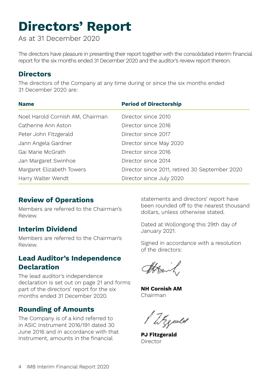## **Directors' Report**

As at 31 December 2020

The directors have pleasure in presenting their report together with the consolidated interim financial report for the six months ended 31 December 2020 and the auditor's review report thereon.

### **Directors**

The directors of the Company at any time during or since the six months ended 31 December 2020 are:

| <b>Name</b>                      | <b>Period of Directorship</b>                  |
|----------------------------------|------------------------------------------------|
| Noel Harold Cornish AM, Chairman | Director since 2010                            |
| Catherine Ann Aston              | Director since 2016                            |
| Peter John Fitzgerald            | Director since 2017                            |
| Jann Angela Gardner              | Director since May 2020                        |
| Gai Marie McGrath                | Director since 2016                            |
| Jan Margaret Swinhoe             | Director since 2014                            |
| Margaret Elizabeth Towers        | Director since 2011, retired 30 September 2020 |
| Harry Walter Wendt               | Director since July 2020                       |

## **Review of Operations**

Members are referred to the Chairman's Review.

## **Interim Dividend**

Members are referred to the Chairman's Review.

## **Lead Auditor's Independence Declaration**

The lead auditor's independence declaration is set out on page 21 and forms part of the directors' report for the six months ended 31 December 2020.

## **Rounding of Amounts**

The Company is of a kind referred to in ASIC Instrument 2016/191 dated 30 June 2016 and in accordance with that Instrument, amounts in the financial

statements and directors' report have been rounded off to the nearest thousand dollars, unless otherwise stated.

Dated at Wollongong this 29th day of January 2021.

Signed in accordance with a resolution of the directors:

Attant

**NH Cornish AM** Chairman

Weeder

**PJ Fitzgerald** Director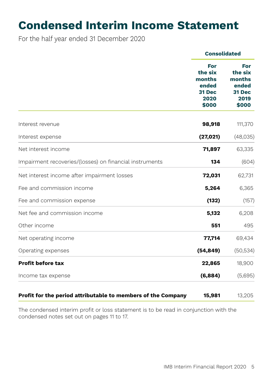## **Condensed Interim Income Statement**

For the half year ended 31 December 2020

|                                                              | <b>Consolidated</b>                                          |                                                                     |
|--------------------------------------------------------------|--------------------------------------------------------------|---------------------------------------------------------------------|
|                                                              | For<br>the six<br>months<br>ended<br>31 Dec<br>2020<br>\$000 | For<br>the six<br>months<br>ended<br><b>31 Dec</b><br>2019<br>\$000 |
| Interest revenue                                             | 98,918                                                       | 111,370                                                             |
| Interest expense                                             | (27, 021)                                                    | (48,035)                                                            |
| Net interest income                                          | 71,897                                                       | 63,335                                                              |
| Impairment recoveries/(losses) on financial instruments      | 134                                                          | (604)                                                               |
| Net interest income after impairment losses                  | 72,031                                                       | 62,731                                                              |
| Fee and commission income                                    | 5,264                                                        | 6,365                                                               |
| Fee and commission expense                                   | (132)                                                        | (157)                                                               |
| Net fee and commission income                                | 5,132                                                        | 6,208                                                               |
| Other income                                                 | 551                                                          | 495                                                                 |
| Net operating income                                         | 77,714                                                       | 69,434                                                              |
| Operating expenses                                           | (54, 849)                                                    | (50, 534)                                                           |
| <b>Profit before tax</b>                                     | 22,865                                                       | 18,900                                                              |
| Income tax expense                                           | (6,884)                                                      | (5,695)                                                             |
| Profit for the period attributable to members of the Company | 15,981                                                       | 13,205                                                              |

The condensed interim profit or loss statement is to be read in conjunction with the condensed notes set out on pages 11 to 17.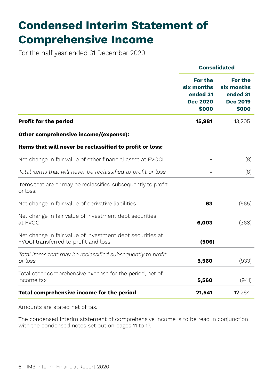## **Condensed Interim Statement of Comprehensive Income**

For the half year ended 31 December 2020

|                                                                                                   | <b>Consolidated</b>                                                  |                                                                      |  |
|---------------------------------------------------------------------------------------------------|----------------------------------------------------------------------|----------------------------------------------------------------------|--|
|                                                                                                   | <b>For the</b><br>six months<br>ended 31<br><b>Dec 2020</b><br>\$000 | <b>For the</b><br>six months<br>ended 31<br><b>Dec 2019</b><br>\$000 |  |
| <b>Profit for the period</b>                                                                      | 15,981                                                               | 13,205                                                               |  |
| Other comprehensive income/(expense):                                                             |                                                                      |                                                                      |  |
| Items that will never be reclassified to profit or loss:                                          |                                                                      |                                                                      |  |
| Net change in fair value of other financial asset at FVOCI                                        |                                                                      | (8)                                                                  |  |
| Total items that will never be reclassified to profit or loss                                     |                                                                      | (8)                                                                  |  |
| Items that are or may be reclassified subsequently to profit<br>or loss:                          |                                                                      |                                                                      |  |
| Net change in fair value of derivative liabilities                                                | 63                                                                   | (565)                                                                |  |
| Net change in fair value of investment debt securities<br>at FVOCI                                | 6,003                                                                | (368)                                                                |  |
| Net change in fair value of investment debt securities at<br>FVOCI transferred to profit and loss | (506)                                                                |                                                                      |  |
| Total items that may be reclassified subsequently to profit<br>or loss                            | 5,560                                                                | (933)                                                                |  |
| Total other comprehensive expense for the period, net of<br>income tax                            | 5,560                                                                | (941)                                                                |  |
| Total comprehensive income for the period                                                         | 21,541                                                               | 12,264                                                               |  |

Amounts are stated net of tax.

The condensed interim statement of comprehensive income is to be read in conjunction with the condensed notes set out on pages 11 to 17.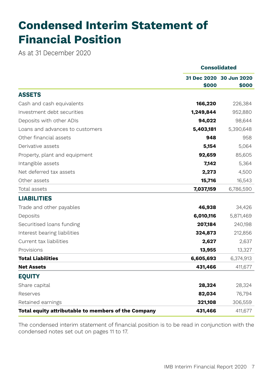## **Condensed Interim Statement of Financial Position**

As at 31 December 2020

|                                                     |           | <b>Consolidated</b>              |
|-----------------------------------------------------|-----------|----------------------------------|
|                                                     | \$000     | 31 Dec 2020 30 Jun 2020<br>\$000 |
| <b>ASSETS</b>                                       |           |                                  |
| Cash and cash equivalents                           | 166,220   | 226,384                          |
| Investment debt securities                          | 1,249,844 | 952,880                          |
| Deposits with other ADIs                            | 94,022    | 98,644                           |
| Loans and advances to customers                     | 5,403,181 | 5,390,648                        |
| Other financial assets                              | 948       | 958                              |
| Derivative assets                                   | 5,154     | 5,064                            |
| Property, plant and equipment                       | 92,659    | 85,605                           |
| Intangible assets                                   | 7,142     | 5,364                            |
| Net deferred tax assets                             | 2,273     | 4,500                            |
| Other assets                                        | 15,716    | 16,543                           |
| Total assets                                        | 7,037,159 | 6,786,590                        |
| <b>LIABILITIES</b>                                  |           |                                  |
| Trade and other payables                            | 46,938    | 34,426                           |
| Deposits                                            | 6,010,116 | 5,871,469                        |
| Securitised loans funding                           | 207,184   | 240,198                          |
| Interest bearing liabilities                        | 324,873   | 212,856                          |
| Current tax liabilities                             | 2,627     | 2,637                            |
| Provisions                                          | 13,955    | 13,327                           |
| <b>Total Liabilities</b>                            | 6,605,693 | 6,374,913                        |
| <b>Net Assets</b>                                   | 431,466   | 411,677                          |
| <b>EQUITY</b>                                       |           |                                  |
| Share capital                                       | 28,324    | 28,324                           |
| Reserves                                            | 82,034    | 76,794                           |
| Retained earnings                                   | 321,108   | 306,559                          |
| Total equity attributable to members of the Company | 431,466   | 411,677                          |

The condensed interim statement of financial position is to be read in conjunction with the condensed notes set out on pages 11 to 17.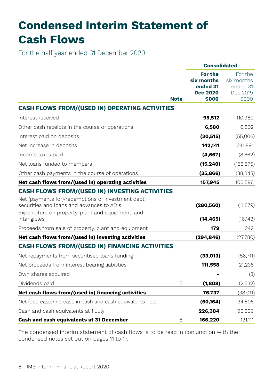## **Condensed Interim Statement of Cash Flows**

For the half year ended 31 December 2020

|                                                                                                                                                     | <b>Consolidated</b>                                                  |                                                        |  |
|-----------------------------------------------------------------------------------------------------------------------------------------------------|----------------------------------------------------------------------|--------------------------------------------------------|--|
| <b>Note</b>                                                                                                                                         | <b>For the</b><br>six months<br>ended 31<br><b>Dec 2020</b><br>\$000 | For the<br>six months<br>ended 31<br>Dec 2019<br>\$000 |  |
| <b>CASH FLOWS FROM/(USED IN) OPERATING ACTIVITIES</b>                                                                                               |                                                                      |                                                        |  |
| Interest received                                                                                                                                   | 95,512                                                               | 110,989                                                |  |
| Other cash receipts in the course of operations                                                                                                     | 6,580                                                                | 6,802                                                  |  |
| Interest paid on deposits                                                                                                                           | (30, 515)                                                            | (55,006)                                               |  |
| Net increase in deposits                                                                                                                            | 142,141                                                              | 241,891                                                |  |
| Income taxes paid                                                                                                                                   | (4,667)                                                              | (8,662)                                                |  |
| Net loans funded to members                                                                                                                         | (15, 240)                                                            | (156, 575)                                             |  |
| Other cash payments in the course of operations                                                                                                     | (35, 866)                                                            | (38, 843)                                              |  |
| Net cash flows from/(used in) operating activities                                                                                                  | 157,945                                                              | 100,596                                                |  |
| <b>CASH FLOWS FROM/(USED IN) INVESTING ACTIVITIES</b>                                                                                               |                                                                      |                                                        |  |
| Net (payments for)/redemptions of investment debt<br>securities and loans and advances to ADIs<br>Expenditure on property, plant and equipment, and | (280, 560)                                                           | (11, 879)                                              |  |
| intangibles                                                                                                                                         | (14, 465)                                                            | (16, 143)                                              |  |
| Proceeds from sale of property, plant and equipment                                                                                                 | 179                                                                  | 242                                                    |  |
| Net cash flows from/(used in) investing activities                                                                                                  | (294, 846)                                                           | (27,780)                                               |  |
| <b>CASH FLOWS FROM/(USED IN) FINANCING ACTIVITIES</b>                                                                                               |                                                                      |                                                        |  |
| Net repayments from securitised loans funding                                                                                                       | (33,013)                                                             | (56, 711)                                              |  |
| Net proceeds from interest bearing liabilities                                                                                                      | 111,558                                                              | 21.235                                                 |  |
| Own shares acquired                                                                                                                                 |                                                                      | (3)                                                    |  |
| Dividends paid<br>5                                                                                                                                 | (1,808)                                                              | (2,532)                                                |  |
| Net cash flows from/(used in) financing activities                                                                                                  | 76,737                                                               | (38,011)                                               |  |
| Net (decrease)/increase in cash and cash equivalents held                                                                                           | (60, 164)                                                            | 34,805                                                 |  |
| Cash and cash equivalents at 1 July                                                                                                                 | 226.384                                                              | 96.306                                                 |  |
| Cash and cash equivalents at 31 December<br>6                                                                                                       | 166,220                                                              | 131,111                                                |  |

The condensed interim statement of cash flows is to be read in conjunction with the condensed notes set out on pages 11 to 17.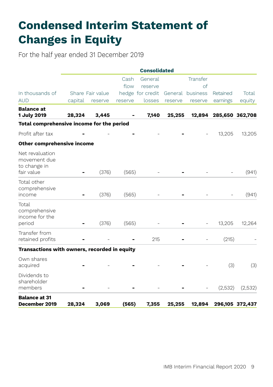## **Condensed Interim Statement of Changes in Equity**

For the half year ended 31 December 2019

|                                                    | <b>Consolidated</b> |                  |         |                  |         |                  |          |                 |  |
|----------------------------------------------------|---------------------|------------------|---------|------------------|---------|------------------|----------|-----------------|--|
|                                                    |                     |                  | Cash    | General          |         | Transfer         |          |                 |  |
|                                                    |                     |                  | flow    | reserve          |         | of               |          |                 |  |
| In thousands of                                    |                     | Share Fair value |         | hedge for credit |         | General business | Retained | Total           |  |
| <b>AUD</b>                                         | capital             | reserve          | reserve | losses           | reserve | reserve          | earnings | equity          |  |
| <b>Balance</b> at<br>1 July 2019                   | 28,324              | 3.445            |         | 7,140            | 25,255  | 12,894           |          | 285,650 362,708 |  |
| Total comprehensive income for the period          |                     |                  |         |                  |         |                  |          |                 |  |
| Profit after tax                                   |                     |                  |         |                  |         |                  | 13,205   | 13,205          |  |
| Other comprehensive income                         |                     |                  |         |                  |         |                  |          |                 |  |
| Net revaluation<br>movement due<br>to change in    |                     |                  |         |                  |         |                  |          |                 |  |
| fair value                                         |                     | (376)            | (565)   |                  |         |                  |          | (941)           |  |
| Total other<br>comprehensive<br>income             |                     | (376)            | (565)   |                  |         |                  |          | (941)           |  |
| Total<br>comprehensive<br>income for the<br>period |                     | (376)            | (565)   |                  |         |                  | 13,205   | 12,264          |  |
| Transfer from<br>retained profits                  |                     |                  |         | 215              |         |                  | (215)    |                 |  |
| Transactions with owners, recorded in equity       |                     |                  |         |                  |         |                  |          |                 |  |
| Own shares<br>acquired                             |                     |                  |         |                  |         |                  | (3)      | (3)             |  |
| Dividends to<br>shareholder<br>members             |                     |                  |         |                  |         |                  | (2,532)  | (2,532)         |  |
| <b>Balance at 31</b><br>December 2019              | 28,324              | 3,069            | (565)   | 7,355            | 25,255  | 12,894           |          | 296,105 372,437 |  |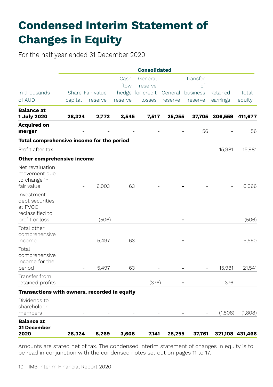## **Condensed Interim Statement of Changes in Equity**

For the half year ended 31 December 2020

|                                                                                |         |                  |         | <b>Consolidated</b> |         |                  |          |                 |
|--------------------------------------------------------------------------------|---------|------------------|---------|---------------------|---------|------------------|----------|-----------------|
|                                                                                |         |                  | Cash    | General             |         | Transfer         |          |                 |
|                                                                                |         |                  | flow    | reserve             |         | of               |          |                 |
| In thousands                                                                   |         | Share Fair value |         | hedge for credit    |         | General business | Retained | Total           |
| of AUD                                                                         | capital | reserve          | reserve | losses              | reserve | reserve          | earnings | equity          |
| <b>Balance</b> at<br>1 July 2020                                               | 28,324  | 2,772            | 3,545   | 7,517               | 25,255  | 37,705           | 306,559  | 411,677         |
| <b>Acquired on</b><br>merger                                                   |         |                  |         |                     |         | 56               |          | 56              |
| Total comprehensive income for the period                                      |         |                  |         |                     |         |                  |          |                 |
| Profit after tax                                                               |         |                  |         |                     |         |                  | 15,981   | 15,981          |
| <b>Other comprehensive income</b>                                              |         |                  |         |                     |         |                  |          |                 |
| Net revaluation<br>movement due<br>to change in<br>fair value                  |         | 6,003            | 63      |                     |         |                  |          | 6,066           |
| Investment<br>debt securities<br>at FVOCI<br>reclassified to<br>profit or loss |         | (506)            |         |                     |         |                  |          | (506)           |
| Total other<br>comprehensive<br>income                                         |         | 5,497            | 63      |                     |         |                  |          | 5,560           |
| Total<br>comprehensive<br>income for the<br>period                             |         | 5,497            | 63      |                     |         |                  | 15,981   | 21,541          |
| Transfer from<br>retained profits                                              |         |                  |         | (376)               |         |                  | 376      |                 |
| Transactions with owners, recorded in equity                                   |         |                  |         |                     |         |                  |          |                 |
| Dividends to<br>shareholder<br>members                                         |         |                  |         |                     |         |                  | (1,808)  | (1,808)         |
| <b>Balance at</b><br>31 December<br>2020                                       | 28,324  | 8,269            | 3,608   | 7,141               | 25,255  | 37,761           |          | 321,108 431,466 |

Amounts are stated net of tax. The condensed interim statement of changes in equity is to be read in conjunction with the condensed notes set out on pages 11 to 17.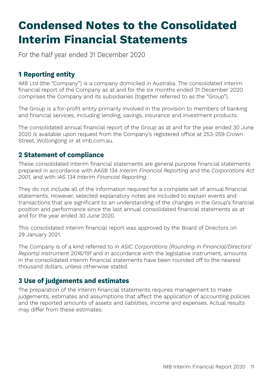## **Condensed Notes to the Consolidated Interim Financial Statements**

For the half year ended 31 December 2020

## **1 Reporting entity**

IMB Ltd (the "Company") is a company domiciled in Australia. The consolidated interim financial report of the Company as at and for the six months ended 31 December 2020 comprises the Company and its subsidiaries (together referred to as the "Group").

The Group is a for-profit entity primarily involved in the provision to members of banking and financial services, including lending, savings, insurance and investment products.

The consolidated annual financial report of the Group as at and for the year ended 30 June 2020 is available upon request from the Company's registered office at 253-259 Crown Street, Wollongong or at imb.com.au.

## **2 Statement of compliance**

These consolidated interim financial statements are general purpose financial statements prepared in accordance with AASB 134 *Interim Financial Reporting* and the *Corporations Act 2001,* and with IAS 134 *Interim Financial Reporting.*

They do not include all of the information required for a complete set of annual financial statements. However, selected explanatory notes are included to explain events and transactions that are significant to an understanding of the changes in the Group's financial position and performance since the last annual consolidated financial statements as at and for the year ended 30 June 2020.

This consolidated interim financial report was approved by the Board of Directors on 29 January 2021.

The Company is of a kind referred to in *ASIC Corporations (Rounding in Financial/Directors' Reports) Instrument 2016/191* and in accordance with the legislative instrument, amounts in the consolidated interim financial statements have been rounded off to the nearest thousand dollars, unless otherwise stated.

### **3 Use of judgements and estimates**

The preparation of the interim financial statements requires management to make judgements, estimates and assumptions that affect the application of accounting policies and the reported amounts of assets and liabilities, income and expenses. Actual results may differ from these estimates.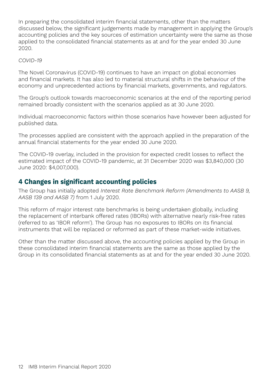In preparing the consolidated interim financial statements, other than the matters discussed below, the significant judgements made by management in applying the Group's accounting policies and the key sources of estimation uncertainty were the same as those applied to the consolidated financial statements as at and for the year ended 30 June 2020.

#### *COVID-19*

The Novel Coronavirus (COVID-19) continues to have an impact on global economies and financial markets. It has also led to material structural shifts in the behaviour of the economy and unprecedented actions by financial markets, governments, and regulators.

The Group's outlook towards macroeconomic scenarios at the end of the reporting period remained broadly consistent with the scenarios applied as at 30 June 2020.

Individual macroeconomic factors within those scenarios have however been adjusted for published data.

The processes applied are consistent with the approach applied in the preparation of the annual financial statements for the year ended 30 June 2020.

The COVID-19 overlay, included in the provision for expected credit losses to reflect the estimated impact of the COVID-19 pandemic, at 31 December 2020 was \$3,840,000 (30 June 2020: \$4,007,000).

### **4 Changes in significant accounting policies**

The Group has initially adopted *Interest Rate Benchmark Reform (Amendments to AASB 9, AASB 139 and AASB 7)* from 1 July 2020.

This reform of major interest rate benchmarks is being undertaken globally, including the replacement of interbank offered rates (IBORs) with alternative nearly risk-free rates (referred to as 'IBOR reform'). The Group has no exposures to IBORs on its financial instruments that will be replaced or reformed as part of these market-wide initiatives.

Other than the matter discussed above, the accounting policies applied by the Group in these consolidated interim financial statements are the same as those applied by the Group in its consolidated financial statements as at and for the year ended 30 June 2020.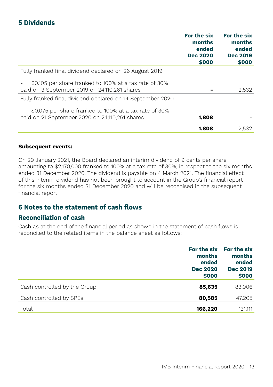## **5 Dividends**

|                                                                                                         | For the six<br>months<br>ended<br><b>Dec 2020</b><br>\$000 | For the six<br>months<br>ended<br><b>Dec 2019</b><br>\$000 |
|---------------------------------------------------------------------------------------------------------|------------------------------------------------------------|------------------------------------------------------------|
| Fully franked final dividend declared on 26 August 2019                                                 |                                                            |                                                            |
| \$0.105 per share franked to 100% at a tax rate of 30%<br>paid on 3 September 2019 on 24,110,261 shares |                                                            | 2,532                                                      |
| Fully franked final dividend declared on 14 September 2020                                              |                                                            |                                                            |
| \$0.075 per share franked to 100% at a tax rate of 30%                                                  |                                                            |                                                            |
| paid on 21 September 2020 on 24,110,261 shares                                                          | 1,808                                                      |                                                            |
|                                                                                                         | 1.808                                                      | 2,532                                                      |

#### **Subsequent events:**

On 29 January 2021, the Board declared an interim dividend of 9 cents per share amounting to \$2,170,000 franked to 100% at a tax rate of 30%, in respect to the six months ended 31 December 2020. The dividend is payable on 4 March 2021. The financial effect of this interim dividend has not been brought to account in the Group's financial report for the six months ended 31 December 2020 and will be recognised in the subsequent financial report.

#### **6 Notes to the statement of cash flows**

#### **Reconciliation of cash**

Cash as at the end of the financial period as shown in the statement of cash flows is reconciled to the related items in the balance sheet as follows:

|                              | months<br>ended<br><b>Dec 2020</b><br>\$000 | For the six For the six<br>months<br>ended<br><b>Dec 2019</b><br>\$000 |
|------------------------------|---------------------------------------------|------------------------------------------------------------------------|
| Cash controlled by the Group | 85,635                                      | 83.906                                                                 |
| Cash controlled by SPEs      | 80,585                                      | 47,205                                                                 |
| Total                        | 166,220                                     | 131.111                                                                |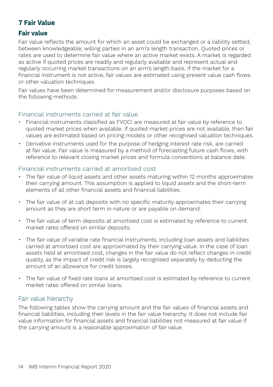## **7 Fair Value**

#### **Fair value**

Fair value reflects the amount for which an asset could be exchanged or a liability settled, between knowledgeable, willing parties in an arm's length transaction. Quoted prices or rates are used to determine fair value where an active market exists. A market is regarded as active if quoted prices are readily and regularly available and represent actual and regularly occurring market transactions on an arm's length basis. If the market for a financial instrument is not active, fair values are estimated using present value cash flows or other valuation techniques.

Fair values have been determined for measurement and/or disclosure purposes based on the following methods:

#### Financial instruments carried at fair value

- Financial instruments classified as FVOCI are measured at fair value by reference to quoted market prices when available. If quoted market prices are not available, then fair values are estimated based on pricing models or other recognised valuation techniques.
- Derivative instruments used for the purpose of hedging interest rate risk, are carried at fair value. Fair value is measured by a method of forecasting future cash flows, with reference to relevant closing market prices and formula conventions at balance date.

#### Financial instruments carried at amortised cost

- The fair value of liquid assets and other assets maturing within 12 months approximates their carrying amount. This assumption is applied to liquid assets and the short-term elements of all other financial assets and financial liabilities.
- The fair value of at call deposits with no specific maturity approximates their carrying amount as they are short term in nature or are payable on demand.
- The fair value of term deposits at amortised cost is estimated by reference to current market rates offered on similar deposits.
- The fair value of variable rate financial instruments, including loan assets and liabilities carried at amortised cost are approximated by their carrying value. In the case of loan assets held at amortised cost, changes in the fair value do not reflect changes in credit quality, as the impact of credit risk is largely recognised separately by deducting the amount of an allowance for credit losses.
- The fair value of fixed rate loans at amortised cost is estimated by reference to current market rates offered on similar loans.

#### Fair value hierarchy

The following tables show the carrying amount and the fair values of financial assets and financial liabilities, including their levels in the fair value hierarchy. It does not include fair value information for financial assets and financial liabilities not measured at fair value if the carrying amount is a reasonable approximation of fair value.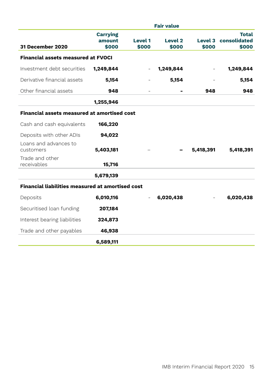|                                                         |                                    |                         | <b>Fair value</b> |           |                                               |
|---------------------------------------------------------|------------------------------------|-------------------------|-------------------|-----------|-----------------------------------------------|
| <b>31 December 2020</b>                                 | <b>Carrying</b><br>amount<br>\$000 | <b>Level 1</b><br>\$000 | Level 2<br>\$000  | \$000     | <b>Total</b><br>Level 3 consolidated<br>\$000 |
| <b>Financial assets measured at FVOCI</b>               |                                    |                         |                   |           |                                               |
| Investment debt securities                              | 1,249,844                          |                         | 1,249,844         |           | 1,249,844                                     |
| Derivative financial assets                             | 5,154                              |                         | 5,154             |           | 5,154                                         |
| Other financial assets                                  | 948                                |                         |                   | 948       | 948                                           |
|                                                         | 1,255,946                          |                         |                   |           |                                               |
| <b>Financial assets measured at amortised cost</b>      |                                    |                         |                   |           |                                               |
| Cash and cash equivalents                               | 166,220                            |                         |                   |           |                                               |
| Deposits with other ADIs                                | 94,022                             |                         |                   |           |                                               |
| Loans and advances to<br>customers                      | 5,403,181                          |                         |                   | 5,418,391 | 5,418,391                                     |
| Trade and other<br>receivables                          | 15,716                             |                         |                   |           |                                               |
|                                                         | 5,679,139                          |                         |                   |           |                                               |
| <b>Financial liabilities measured at amortised cost</b> |                                    |                         |                   |           |                                               |
| Deposits                                                | 6,010,116                          |                         | 6,020,438         |           | 6,020,438                                     |
| Securitised loan funding                                | 207,184                            |                         |                   |           |                                               |
| Interest bearing liabilities                            | 324,873                            |                         |                   |           |                                               |
| Trade and other payables                                | 46,938                             |                         |                   |           |                                               |
|                                                         | 6,589,111                          |                         |                   |           |                                               |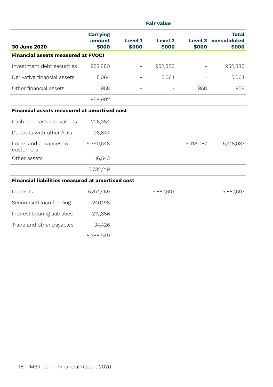|                                                         | <b>Fair value</b>                  |                         |                             |           |                                                      |  |
|---------------------------------------------------------|------------------------------------|-------------------------|-----------------------------|-----------|------------------------------------------------------|--|
| 30 June 2020                                            | <b>Carrying</b><br>amount<br>\$000 | <b>Level 1</b><br>\$000 | Level <sub>2</sub><br>\$000 | \$000     | <b>Total</b><br><b>Level 3 consolidated</b><br>\$000 |  |
| <b>Financial assets measured at FVOCI</b>               |                                    |                         |                             |           |                                                      |  |
| Investment debt securities                              | 952,880                            |                         | 952,880                     |           | 952,880                                              |  |
| Derivative financial assets                             | 5,064                              |                         | 5,064                       |           | 5,064                                                |  |
| Other financial assets                                  | 958                                |                         |                             | 958       | 958                                                  |  |
|                                                         | 958,902                            |                         |                             |           |                                                      |  |
| <b>Financial assets measured at amortised cost</b>      |                                    |                         |                             |           |                                                      |  |
| Cash and cash equivalents                               | 226,384                            |                         |                             |           |                                                      |  |
| Deposits with other ADIs                                | 98,644                             |                         |                             |           |                                                      |  |
| Loans and advances to<br>customers                      | 5,390,648                          |                         |                             | 5,418,087 | 5,418,087                                            |  |
| Other assets                                            | 16,543                             |                         |                             |           |                                                      |  |
|                                                         | 5,732,219                          |                         |                             |           |                                                      |  |
| <b>Financial liabilities measured at amortised cost</b> |                                    |                         |                             |           |                                                      |  |
| Deposits                                                | 5,871,469                          |                         | 5,887,697                   |           | 5,887,697                                            |  |
| Securitised loan funding                                | 240,198                            |                         |                             |           |                                                      |  |
| Interest bearing liabilities                            | 212,856                            |                         |                             |           |                                                      |  |
| Trade and other payables                                | 34,426                             |                         |                             |           |                                                      |  |
|                                                         | 6,358,949                          |                         |                             |           |                                                      |  |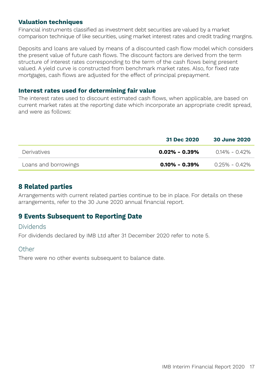#### **Valuation techniques**

Financial instruments classified as investment debt securities are valued by a market comparison technique of like securities, using market interest rates and credit trading margins.

Deposits and loans are valued by means of a discounted cash flow model which considers the present value of future cash flows. The discount factors are derived from the term structure of interest rates corresponding to the term of the cash flows being present valued. A yield curve is constructed from benchmark market rates. Also, for fixed rate mortgages, cash flows are adjusted for the effect of principal prepayment.

#### **Interest rates used for determining fair value**

The interest rates used to discount estimated cash flows, when applicable, are based on current market rates at the reporting date which incorporate an appropriate credit spread, and were as follows:

|                      | 31 Dec 2020       | 30 June 2020    |
|----------------------|-------------------|-----------------|
| <b>Derivatives</b>   | $0.02\% - 0.39\%$ | $014\% - 042\%$ |
| Loans and borrowings | $0.10\% - 0.39\%$ | 0 25% - 0 42%   |

### **8 Related parties**

Arrangements with current related parties continue to be in place. For details on these arrangements, refer to the 30 June 2020 annual financial report.

### **9 Events Subsequent to Reporting Date**

#### Dividends

For dividends declared by IMB Ltd after 31 December 2020 refer to note 5.

#### Other

There were no other events subsequent to balance date.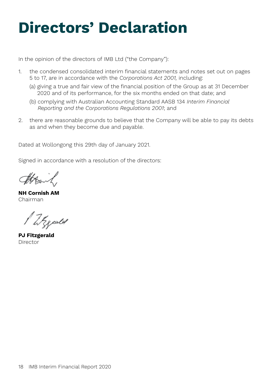# **Directors' Declaration**

In the opinion of the directors of IMB Ltd ("the Company"):

- 1. the condensed consolidated interim financial statements and notes set out on pages 5 to 17, are in accordance with the *Corporations Act 2001,* including:
	- (a) giving a true and fair view of the financial position of the Group as at 31 December 2020 and of its performance, for the six months ended on that date; and
	- (b) complying with Australian Accounting Standard AASB 134 *Interim Financial Reporting and the Corporations Regulations 2001*; and
- 2. there are reasonable grounds to believe that the Company will be able to pay its debts as and when they become due and payable.

Dated at Wollongong this 29th day of January 2021.

Signed in accordance with a resolution of the directors:

**NH Cornish AM** Chairman

Wegesler

**PJ Fitzgerald** Director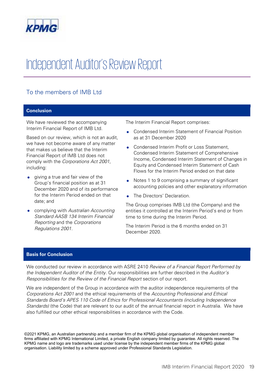

## Independent Auditor's Review Report

#### To the members of IMB Ltd Interiment of IMB Ltd.

#### **Conclusion** (we have not become aware of a

**Conclusion** 

We have reviewed the accompanying Interim Financial Report of IMB Ltd. that makes us believe that the Interim

Based on our review, which is not an audit,

Based on our review, which is not an audit, we have not become aware of any matter that makes us believe that the Interim Financial Report of IMB Ltd does not comply with the *Corporations Act 2001*, including:

- **•** giving a true and fair view of the Group's financial position as at 31 *Standard AASB 134 Interim Financial* December 2020 and of its performance *Reporting* and the *Corporations* for the Interim Period ended on that *Regulations 2001*. date; and
- complying with *Australian Accounting Standard AASB 134 Interim Financial* **Reporting** and the *Corporations Regulations 2001*.

The Interim Financial Report comprises: Income, Condensed Interim Statement of Changes in

Condensed Interim Profit or Loss Statement,

as at 31 December 2020

- Condensed Interim Statement of Financial Position as at 31 December 2020
- Condensed Interim Profit or Loss Statement, Condensed Interim Statement of Comprehensive Income, Condensed Interim Statement of Changes in Equity and Condensed Interim Statement of Shange Flows for the Interim Period ended on that date
- Notes 1 to 9 comprising a summary of significant accounting policies and other explanatory information
- The Directors' Declaration.  $\bullet$  and  $\bullet$  negrotors

The Group comprises IMB Ltd (the Company) and the entities it controlled at the Interim Period's end or from time to time during the Interim Period.

The Interim Period is the 6 months ended on 31 December 2020. We comment and *Recemment 2020*.

#### **Basis for Conclusion Are independent of the Group in accordance with the auditor independence requirements of t**

We conducted our review in accordance with ASRE 2410 *Review of a Financial Report Performed by* the Independent Auditor of the Entity. Our responsibilities are further described in the Auditor's Responsibilities for the Review of the Financial Report section of our report.

*Corporations Act 2001* and the ethical requirements of the *Accounting Professional and Ethical* 

*Responsibilities for the Review of the Financial Report* section of our report.

We are independent of the Group in accordance with the auditor independence requirements of the *Corporations Act 2001* and the ethical requirements of the *Accounting Professional and Ethical Standards Board's APES 110 Code of Ethics for Professional Accountants (including Independence Standards)* (the Code) that are relevant to our audit of the annual financial report in Australia. We have also fulfilled our other ethical responsibilities in accordance with the Code.

©2021 KPMG, an Australian partnership and a member firm of the KPMG global organisation of independent member firms affiliated with KPMG International Limited, a private English company limited by guarantee. All rights reserved. The KPMG name and logo are trademarks used under license by the independent member firms of the KPMG global organisation. Liability limited by a scheme approved under Professional Standards Legislation.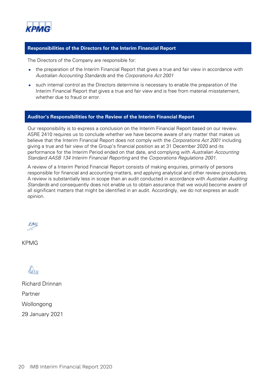

#### **Responsibilities of the Directors for the Interim Financial Report**

The Directors of the Company are responsible for:

- the preparation of the Interim Financial Report that gives a true and fair view in accordance with *Australian Accounting Standards* and the *Corporations Act 2001*
- such internal control as the Directors determine is necessary to enable the preparation of the Interim Financial Report that gives a true and fair view and is free from material misstatement. whether due to fraud or error.

#### **Auditor's Responsibilities for the Review of the Interim Financial Report**

Our responsibility is to express a conclusion on the Interim Financial Report based on our review. ASRE 2410 requires us to conclude whether we have become aware of any matter that makes us believe that the Interim Financial Report does not comply with the *Corporations Act 2001* including giving a true and fair view of the Group's financial position as at 31 December 2020 and its performance for the Interim Period ended on that date, and complying with *Australian Accounting Standard AASB 134 Interim Financial Reporting* and the *Corporations Regulations 2001*.

A review of a Interim Period Financial Report consists of making enquiries, primarily of persons responsible for financial and accounting matters, and applying analytical and other review procedures. A review is substantially less in scope than an audit conducted in accordance with *Australian Auditing Standards* and consequently does not enable us to obtain assurance that we would become aware of all significant matters that might be identified in an audit. Accordingly, we do not express an audit opinion.

**KAN** 

KPMG

Din

Richard Drinnan Partner Wollongong 29 January 2021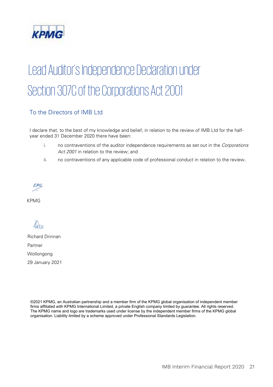

## Lead Auditor's Independence Declaration under Section 307C of the Corporations Act 2001 year ended 31 December 2020 there have been: ii. no contraventions of any applicable code of professional conduct in relation to the review.

#### To the Directors of IMB Ltd

I declare that, to the best of my knowledge and belief, in relation to the review of IMB Ltd for the halfyear ended 31 December 2020 there have been:

- i. no contraventions of the auditor independence requirements as set out in the *Corporations Act 2001* in relation to the review; and
- ii. no contraventions of any applicable code of professional conduct in relation to the review.

Wollongong

**KPMG** 

Din

Richard Drinnan Partner Wollongong 29 January 2021

©2021 KPMG, an Australian partnership and a member firm of the KPMG global organisation of independent member firms affiliated with KPMG International Limited, a private English company limited by guarantee. All rights reserved. The KPMG name and logo are trademarks used under license by the independent member firms of the KPMG global organisation. Liability limited by a scheme approved under Professional Standards Legislation.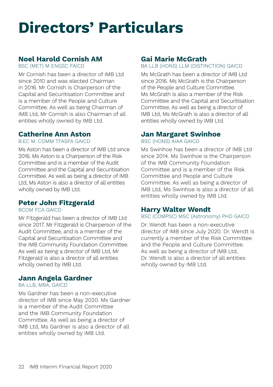# **Directors' Particulars**

## **Noel Harold Cornish AM**

BSC (MET) M ENGSC FAICD

Mr Cornish has been a director of IMB Ltd since 2010 and was elected Chairman in 2016. Mr Cornish is Chairperson of the Capital and Securitisation Committee and is a member of the People and Culture Committee. As well as being Chairman of IMB Ltd, Mr Cornish is also Chairman of all entities wholly owned by IMB Ltd.

### **Catherine Ann Aston**

B.EC M. COMM TFASFA GAICD

Ms Aston has been a director of IMB Ltd since 2016. Ms Aston is a Chairperson of the Risk Committee and is a member of the Audit Committee and the Capital and Securitisation Committee. As well as being a director of IMB Ltd, Ms Aston is also a director of all entities wholly owned by IMB Ltd.

### **Peter John Fitzgerald**

#### BCOM FCA GAICD

Mr Fitzgerald has been a director of IMB Ltd since 2017. Mr Fitzgerald is Chairperson of the Audit Committee, and is a member of the Capital and Securitisation Committee and the IMB Community Foundation Committee. As well as being a director of IMB Ltd, Mr Fitzgerald is also a director of all entities wholly owned by IMB Ltd.

### **Jann Angela Gardner**

BA LLB, MBA, GAICD

Ms Gardner has been a non-executive director of IMB since May 2020. Ms Gardner is a member of the Audit Committee and the IMB Community Foundation Committee. As well as being a director of IMB Ltd, Ms Gardner is also a director of all entities wholly owned by IMB Ltd.

## **Gai Marie McGrath**

BA LLB (HONS) LLM (DISTINCTION) GAICD

Ms McGrath has been a director of IMB Ltd since 2016. Ms McGrath is the Chairperson of the People and Culture Committee. Ms McGrath is also a member of the Risk Committee and the Capital and Securitisation Committee. As well as being a director of IMB Ltd, Ms McGrath is also a director of all entities wholly owned by IMB Ltd.

## **Jan Margaret Swinhoe**

BSC (HONS) AIAA GAICD

Ms Swinhoe has been a director of IMB Ltd since 2014. Ms Swinhoe is the Chairperson of the IMB Community Foundation Committee and is a member of the Risk Committee and People and Culture Committee. As well as being a director of IMB Ltd, Ms Swinhoe is also a director of all entities wholly owned by IMB Ltd.

### **Harry Walter Wendt**

BSC (COMPSC) MSC (Astronomy) PHD GAICD

Dr. Wendt has been a non-executive director of IMB since July 2020. Dr. Wendt is currently a member of the Risk Committee and the People and Culture Committee. As well as being a director of IMB Ltd, Dr. Wendt is also a director of all entities wholly owned by IMB Ltd.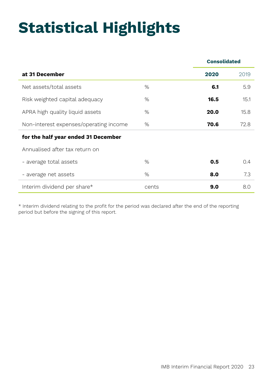# **Statistical Highlights**

|                                        |       | <b>Consolidated</b> |      |
|----------------------------------------|-------|---------------------|------|
| at 31 December                         |       | 2020                | 2019 |
| Net assets/total assets                | $\%$  | 6.1                 | 5.9  |
| Risk weighted capital adequacy         | $\%$  | 16.5                | 15.1 |
| APRA high quality liquid assets        | $\%$  | 20.0                | 15.8 |
| Non-interest expenses/operating income | %     | 70.6                | 72.8 |
| for the half year ended 31 December    |       |                     |      |
| Annualised after tax return on         |       |                     |      |
| - average total assets                 | $\%$  | 0.5                 | 0.4  |
| - average net assets                   | %     | 8.0                 | 7.3  |
| Interim dividend per share*            | cents | 9.0                 | 8.0  |

\* Interim dividend relating to the profit for the period was declared after the end of the reporting period but before the signing of this report.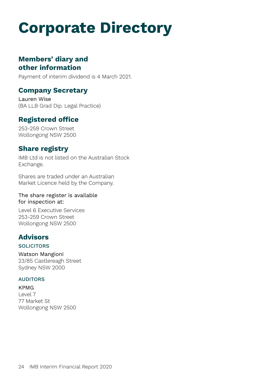# **Corporate Directory**

## **Members' diary and other information**

Payment of interim dividend is 4 March 2021.

#### **Company Secretary**

Lauren Wise (BA LLB Grad Dip. Legal Practice)

## **Registered office**

253-259 Crown Street Wollongong NSW 2500

### **Share registry**

IMB Ltd is not listed on the Australian Stock Exchange.

Shares are traded under an Australian Market Licence held by the Company.

#### The share register is available for inspection at:

Level 6 Executive Services 253-259 Crown Street Wollongong NSW 2500

## **Advisors**

#### **SOLICITORS**

Watson Mangioni 23/85 Castlereagh Street Sydney NSW 2000

#### AUDITORS

KPMG Level 7 77 Market St Wollongong NSW 2500